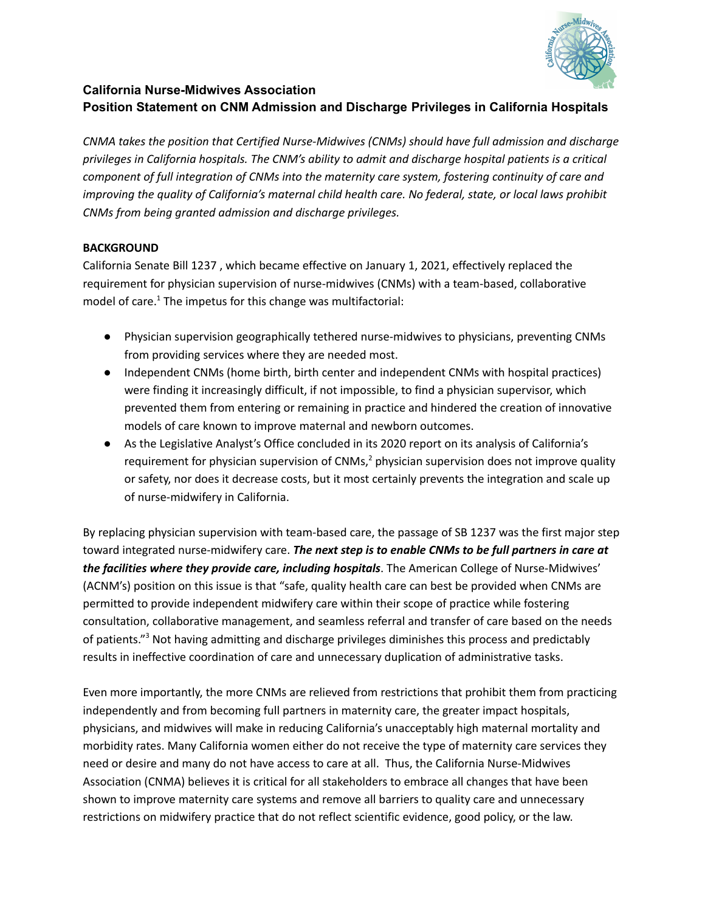

# **California Nurse-Midwives Association Position Statement on CNM Admission and Discharge Privileges in California Hospitals**

*CNMA takes the position that Certified Nurse-Midwives (CNMs) should have full admission and discharge privileges in California hospitals. The CNM's ability to admit and discharge hospital patients is a critical component of full integration of CNMs into the maternity care system, fostering continuity of care and improving the quality of California's maternal child health care. No federal, state, or local laws prohibit CNMs from being granted admission and discharge privileges.*

# **BACKGROUND**

California Senate Bill 1237 , which became effective on January 1, 2021, effectively replaced the requirement for physician supervision of nurse-midwives (CNMs) with a team-based, collaborative model of care.<sup>1</sup> The impetus for this change was multifactorial:

- Physician supervision geographically tethered nurse-midwives to physicians, preventing CNMs from providing services where they are needed most.
- Independent CNMs (home birth, birth center and independent CNMs with hospital practices) were finding it increasingly difficult, if not impossible, to find a physician supervisor, which prevented them from entering or remaining in practice and hindered the creation of innovative models of care known to improve maternal and newborn outcomes.
- As the Legislative Analyst's Office concluded in its 2020 report on its analysis of California's requirement for physician supervision of CNMs, $<sup>2</sup>$  physician supervision does not improve quality</sup> or safety, nor does it decrease costs, but it most certainly prevents the integration and scale up of nurse-midwifery in California.

By replacing physician supervision with team-based care, the passage of SB 1237 was the first major step toward integrated nurse-midwifery care. *The next step is to enable CNMs to be full partners in care at the facilities where they provide care, including hospitals*. The American College of Nurse-Midwives' (ACNM's) position on this issue is that "safe, quality health care can best be provided when CNMs are permitted to provide independent midwifery care within their scope of practice while fostering consultation, collaborative management, and seamless referral and transfer of care based on the needs of patients."<sup>3</sup> Not having admitting and discharge privileges diminishes this process and predictably results in ineffective coordination of care and unnecessary duplication of administrative tasks.

Even more importantly, the more CNMs are relieved from restrictions that prohibit them from practicing independently and from becoming full partners in maternity care, the greater impact hospitals, physicians, and midwives will make in reducing California's unacceptably high maternal mortality and morbidity rates. Many California women either do not receive the type of maternity care services they need or desire and many do not have access to care at all. Thus, the California Nurse-Midwives Association (CNMA) believes it is critical for all stakeholders to embrace all changes that have been shown to improve maternity care systems and remove all barriers to quality care and unnecessary restrictions on midwifery practice that do not reflect scientific evidence, good policy, or the law.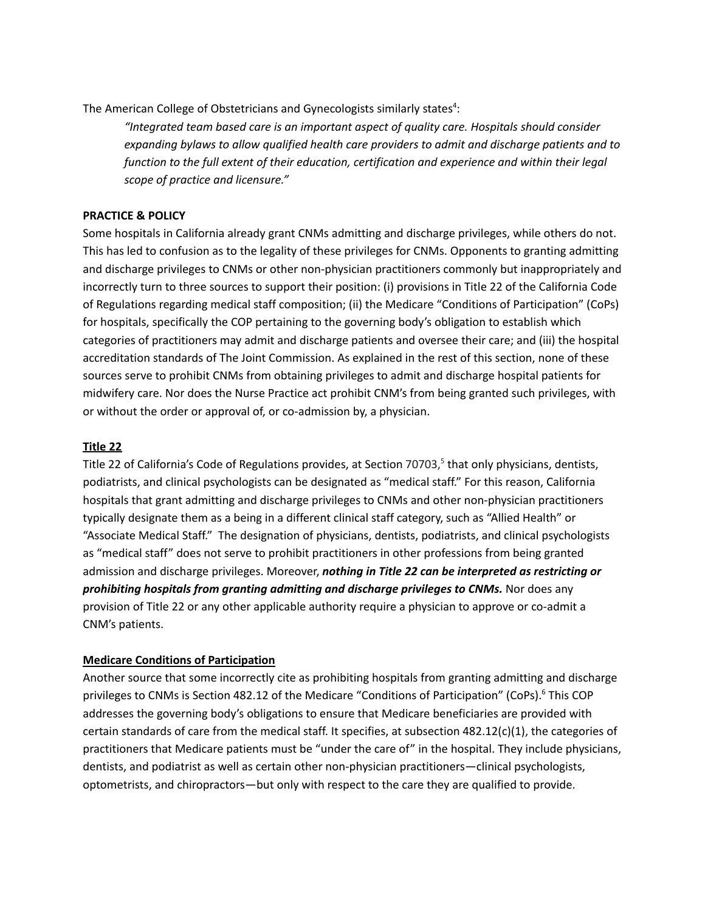The American College of Obstetricians and Gynecologists similarly states<sup>4</sup>:

*"Integrated team based care is an important aspect of quality care. Hospitals should consider expanding bylaws to allow qualified health care providers to admit and discharge patients and to function to the full extent of their education, certification and experience and within their legal scope of practice and licensure."*

# **PRACTICE & POLICY**

Some hospitals in California already grant CNMs admitting and discharge privileges, while others do not. This has led to confusion as to the legality of these privileges for CNMs. Opponents to granting admitting and discharge privileges to CNMs or other non-physician practitioners commonly but inappropriately and incorrectly turn to three sources to support their position: (i) provisions in Title 22 of the California Code of Regulations regarding medical staff composition; (ii) the Medicare "Conditions of Participation" (CoPs) for hospitals, specifically the COP pertaining to the governing body's obligation to establish which categories of practitioners may admit and discharge patients and oversee their care; and (iii) the hospital accreditation standards of The Joint Commission. As explained in the rest of this section, none of these sources serve to prohibit CNMs from obtaining privileges to admit and discharge hospital patients for midwifery care. Nor does the Nurse Practice act prohibit CNM's from being granted such privileges, with or without the order or approval of, or co-admission by, a physician.

# **Title 22**

Title 22 of California's Code of Regulations provides, at Section 70703,<sup>5</sup> that only physicians, dentists, podiatrists, and clinical psychologists can be designated as "medical staff." For this reason, California hospitals that grant admitting and discharge privileges to CNMs and other non-physician practitioners typically designate them as a being in a different clinical staff category, such as "Allied Health" or "Associate Medical Staff." The designation of physicians, dentists, podiatrists, and clinical psychologists as "medical staff" does not serve to prohibit practitioners in other professions from being granted admission and discharge privileges. Moreover, *nothing in Title 22 can be interpreted as restricting or prohibiting hospitals from granting admitting and discharge privileges to CNMs.* Nor does any provision of Title 22 or any other applicable authority require a physician to approve or co-admit a CNM's patients.

### **Medicare Conditions of Participation**

Another source that some incorrectly cite as prohibiting hospitals from granting admitting and discharge privileges to CNMs is Section 482.12 of the Medicare "Conditions of Participation" (CoPs).<sup>6</sup> This COP addresses the governing body's obligations to ensure that Medicare beneficiaries are provided with certain standards of care from the medical staff. It specifies, at subsection 482.12(c)(1), the categories of practitioners that Medicare patients must be "under the care of" in the hospital. They include physicians, dentists, and podiatrist as well as certain other non-physician practitioners—clinical psychologists, optometrists, and chiropractors—but only with respect to the care they are qualified to provide.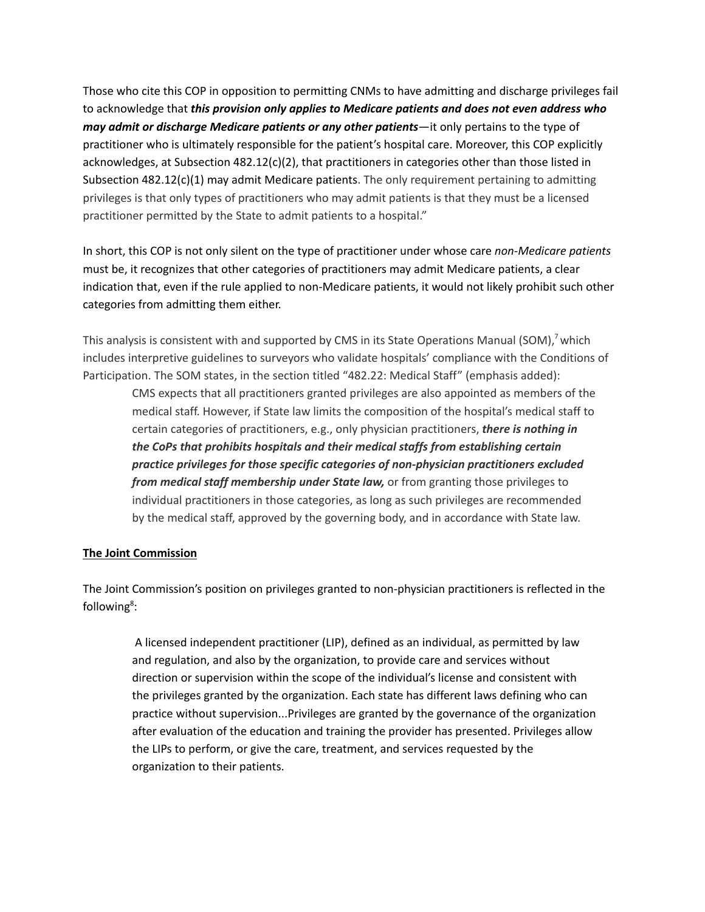Those who cite this COP in opposition to permitting CNMs to have admitting and discharge privileges fail to acknowledge that *this provision only applies to Medicare patients and does not even address who may admit or discharge Medicare patients or any other patients*—it only pertains to the type of practitioner who is ultimately responsible for the patient's hospital care. Moreover, this COP explicitly acknowledges, at Subsection 482.12(c)(2), that practitioners in categories other than those listed in Subsection 482.12(c)(1) may admit Medicare patients. The only requirement pertaining to admitting privileges is that only types of practitioners who may admit patients is that they must be a licensed practitioner permitted by the State to admit patients to a hospital."

In short, this COP is not only silent on the type of practitioner under whose care *non-Medicare patients* must be, it recognizes that other categories of practitioners may admit Medicare patients, a clear indication that, even if the rule applied to non-Medicare patients, it would not likely prohibit such other categories from admitting them either.

This analysis is consistent with and supported by CMS in its State Operations Manual (SOM),<sup>7</sup> which includes interpretive guidelines to surveyors who validate hospitals' compliance with the Conditions of Participation. The SOM states, in the section titled "482.22: Medical Staff" (emphasis added):

CMS expects that all practitioners granted privileges are also appointed as members of the medical staff. However, if State law limits the composition of the hospital's medical staff to certain categories of practitioners, e.g., only physician practitioners, *there is nothing in the CoPs that prohibits hospitals and their medical staffs from establishing certain practice privileges for those specific categories of non-physician practitioners excluded from medical staff membership under State law,* or from granting those privileges to individual practitioners in those categories, as long as such privileges are recommended by the medical staff, approved by the governing body, and in accordance with State law.

### **The Joint Commission**

The Joint Commission's position on privileges granted to non-physician practitioners is reflected in the following<sup>8</sup>:

A licensed independent practitioner (LIP), defined as an individual, as permitted by law and regulation, and also by the organization, to provide care and services without direction or supervision within the scope of the individual's license and consistent with the privileges granted by the organization. Each state has different laws defining who can practice without supervision...Privileges are granted by the governance of the organization after evaluation of the education and training the provider has presented. Privileges allow the LIPs to perform, or give the care, treatment, and services requested by the organization to their patients.